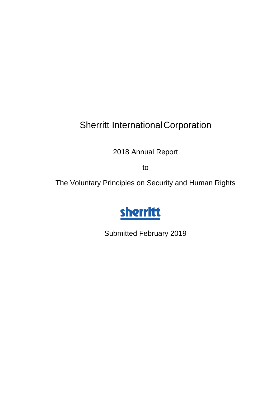# Sherritt InternationalCorporation

2018 Annual Report

to

The Voluntary Principles on Security and Human Rights



Submitted February 2019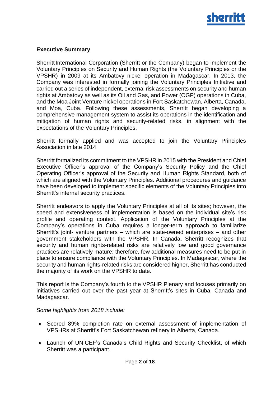

## **Executive Summary**

Sherritt International Corporation (Sherritt or the Company) began to implement the Voluntary Principles on Security and Human Rights (the Voluntary Principles or the VPSHR) in 2009 at its Ambatovy nickel operation in Madagascar. In 2013, the Company was interested in formally joining the Voluntary Principles Initiative and carried out a series of independent, external risk assessments on security and human rights at Ambatovy as well as its Oil and Gas, and Power (OGP) operations in Cuba, and the Moa Joint Venture nickel operations in Fort Saskatchewan, Alberta, Canada, and Moa, Cuba. Following these assessments, Sherritt began developing a comprehensive management system to assist its operations in the identification and mitigation of human rights and security-related risks, in alignment with the expectations of the Voluntary Principles.

Sherritt formally applied and was accepted to join the Voluntary Principles Association in late 2014.

Sherritt formalized its commitment to the VPSHR in 2015 with the President and Chief Executive Officer's approval of the Company's Security Policy and the Chief Operating Officer's approval of the Security and Human Rights Standard, both of which are aligned with the Voluntary Principles. Additional procedures and guidance have been developed to implement specific elements of the Voluntary Principles into Sherritt's internal security practices.

Sherritt endeavors to apply the Voluntary Principles at all of its sites; however, the speed and extensiveness of implementation is based on the individual site's risk profile and operating context. Application of the Voluntary Principles at the Company's operations in Cuba requires a longer-term approach to familiarize Sherritt's joint- venture partners – which are state-owned enterprises – and other government stakeholders with the VPSHR. In Canada, Sherritt recognizes that security and human rights-related risks are relatively low and good governance practices are relatively mature; therefore, few additional measures need to be put in place to ensure compliance with the Voluntary Principles. In Madagascar, where the security and human rights-related risks are considered higher, Sherritt has conducted the majority of its work on the VPSHR to date.

This report is the Company's fourth to the VPSHR Plenary and focuses primarily on initiatives carried out over the past year at Sherritt's sites in Cuba, Canada and Madagascar.

#### *Some highlights from 2018 include:*

- Scored 89% completion rate on external assessment of implementation of VPSHRs at Sherritt's Fort Saskatchewan refinery in Alberta, Canada.
- Launch of UNICEF's Canada's Child Rights and Security Checklist, of which Sherritt was a participant.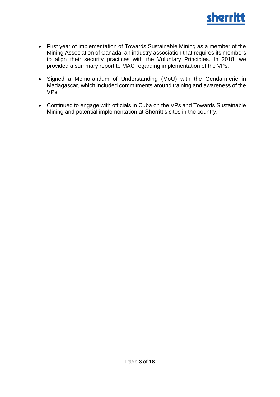

- First year of implementation of Towards Sustainable Mining as a member of the Mining Association of Canada, an industry association that requires its members to align their security practices with the Voluntary Principles. In 2018, we provided a summary report to MAC regarding implementation of the VPs.
- Signed a Memorandum of Understanding (MoU) with the Gendarmerie in Madagascar, which included commitments around training and awareness of the VPs.
- Continued to engage with officials in Cuba on the VPs and Towards Sustainable Mining and potential implementation at Sherritt's sites in the country.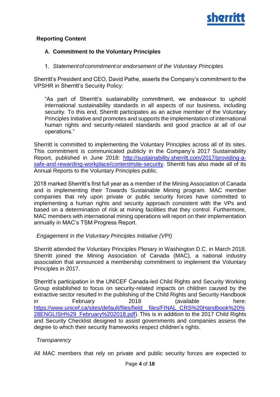

## **Reporting Content**

## **A. Commitment to the Voluntary Principles**

## *Statementof commitmentor endorsement of the Voluntary Principles*

Sherritt's President and CEO, David Pathe, asserts the Company's commitment to the VPSHR in Sherritt's Security Policy:

"As part of Sherritt's sustainability commitment, we endeavour to uphold international sustainability standards in all aspects of our business, including security. To this end, Sherritt participates as an active member of the Voluntary Principles Initiative and promotes and supports the implementation of international human rights and security-related standards and good practice at all of our operations."

Sherritt is committed to implementing the Voluntary Principles across all of its sites. This commitment is communicated publicly in the Company's 2017 Sustainability Report, published in June 2018: [http://sustainability.sherritt.com/2017/providing-a](http://sustainability.sherritt.com/2017/providing-a-safe-and-rewarding-workplace/content#site-security)[safe-and-rewarding-workplace/content#site-security.](http://sustainability.sherritt.com/2017/providing-a-safe-and-rewarding-workplace/content#site-security) Sherritt has also made all of its Annual Reports to the Voluntary Principles public.

2018 marked Sherritt's first full year as a member of the Mining Association of Canada and is implementing their Towards Sustainable Mining program. MAC member companies that rely upon private or public security forces have committed to implementing a human rights and security approach consistent with the VPs and based on a determination of risk at mining facilities that they control. Furthermore, MAC members with international mining operations will report on their implementation annually in MAC's TSM Progress Report.

#### *Engagement in the Voluntary Principles Initiative (VPI)*

Sherritt attended the Voluntary Principles Plenary in Washington D.C. in March 2018. Sherritt joined the Mining Association of Canada (MAC), a national industry association that announced a membership commitment to implement the Voluntary Principles in 2017.

Sherritt's participation in the UNICEF Canada-led Child Rights and Security Working Group established to focus on security-related impacts on children caused by the extractive sector resulted in the publishing of the Child Rights and Security Handbook in February 2018 (available here: [https://www.unicef.ca/sites/default/files/field\\_\\_files/FINAL\\_CRS%20Handbook%20%](https://www.unicef.ca/sites/default/files/field__files/FINAL_CRS%20Handbook%20%28ENGLISH%29_February%202018.pdf) [28ENGLISH%29\\_February%202018.pdf\)](https://www.unicef.ca/sites/default/files/field__files/FINAL_CRS%20Handbook%20%28ENGLISH%29_February%202018.pdf).This is in addition to the 2017 Child Rights and Security Checklist designed to assist governments and companies assess the degree to which their security frameworks respect children's rights.

## *Transparency*

All MAC members that rely on private and public security forces are expected to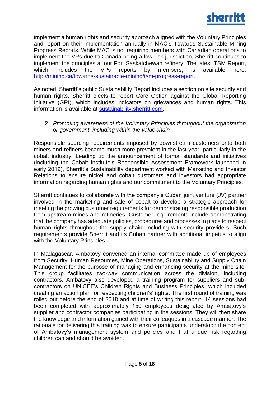

implement a human rights and security approach aligned with the Voluntary Principles and report on their implementation annually in MAC's Towards Sustainable Mining Progress Reports. While MAC is not requiring members with Canadian operations to implement the VPs due to Canada being a low-risk jurisdiction, Sherritt continues to implement the principles at our Fort Saskatchewan refinery. The latest TSM Report, which includes the VPs reports by members, is available here: [http://mining.ca/towards-sustainable-mining/tsm-progress-report.](http://mining.ca/towards-sustainable-mining/tsm-progress-report)

As noted, Sherritt's public Sustainability Report includes a section on site security and human rights. Sherritt elects to report Core Option against the Global Reporting Initiative (GRI), which includes indicators on grievances and human rights. This information is available at [sustainability.sherritt.com.](http://sustainability.sherritt.com/2017/)

*Promoting awareness of the Voluntary Principles throughout the organization or government, including within the value chain*

Responsible sourcing requirements imposed by downstream customers onto both miners and refiners became much more prevalent in the last year, particularly in the cobalt industry. Leading up the announcement of formal standards and initiatives (including the Cobalt Institute's Responsible Assessment Framework launched in early 2019), Sherritt's Sustainability department worked with Marketing and Investor Relations to ensure nickel and cobalt customers and investors had appropriate information regarding human rights and our commitment to the Voluntary Principles.

Sherritt continues to collaborate with the company's Cuban joint venture (JV) partner involved in the marketing and sale of cobalt to develop a strategic approach for meeting the growing customer requirements for demonstrating responsible production from upstream mines and refineries. Customer requirements include demonstrating that the company has adequate policies, procedures and processes in place to respect human rights throughout the supply chain, including with security providers. Such requirements provide Sherritt and its Cuban partner with additional impetus to align with the Voluntary Principles.

In Madagascar, Ambatovy convened an internal committee made up of employees from Security, Human Resources, Mine Operations, Sustainability and Supply Chain Management for the purpose of managing and enhancing security at the mine site. This group facilitates two-way communication across the division, including contractors. Ambatovy also developed a training program for suppliers and subcontractors on UNICEF's Children Rights and Business Principles, which included creating an action plan for respecting children's' rights. The first round of training was rolled out before the end of 2018 and at time of writing this report, 14 sessions had been completed with approximately 150 employees designated by Ambatovy's supplier and contractor companies participating in the sessions. They will then share the knowledge and information gained with their colleagues in a cascade manner. The rationale for delivering this training was to ensure participants understood the content of Ambatovy's management system and policies and that undue risk regarding children can and should be avoided.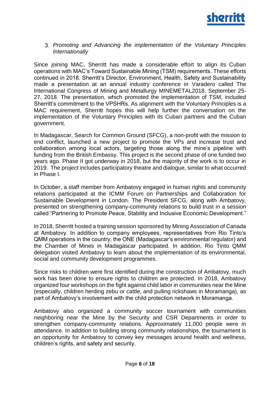

#### *Promoting and Advancing the implementation of the Voluntary Principles Internationally*

Since joining MAC, Sherritt has made a considerable effort to align its Cuban operations with MAC's Toward Sustainable Mining (TSM) requirements. These efforts continued in 2018. Sherritt's Director, Environment, Health, Safety and Sustainability made a presentation at an annual industry conference in Varadero called The International Congress of Mining and Metallurgy MINEMETAL2018, September 25- 27, 2018. The presentation, which promoted the implementation of TSM, included Sherritt's commitment to the VPSHRs. As alignment with the Voluntary Principles is a MAC requirement, Sherritt hopes this will help further the conversation on the implementation of the Voluntary Principles with its Cuban partners and the Cuban government.

In Madagascar, Search for Common Ground (SFCG), a non-profit with the mission to end conflict, launched a new project to promote the VPs and increase trust and collaboration among local actors, targeting those along the mine's pipeline with funding from the British Embassy. This project is the second phase of one funded two years ago. Phase II got underway in 2018, but the majority of the work is to occur in 2019. The project includes participatory theatre and dialogue, similar to what occurred in Phase I.

In October, a staff member from Ambatovy engaged in human rights and community relations participated at the ICMM Forum on Partnerships and Collaboration for Sustainable Development in London. The President SFCG, along with Ambatovy, presented on strengthening company-community relations to build trust in a session called "Partnering to Promote Peace, Stability and Inclusive Economic Development."

In 2018, Sherritt hosted a training session sponsored by Mining Association of Canada at Ambatovy. In addition to company employees, representatives from Rio Tinto's QMM operations in the country, the ONE (Madagascar's environmental regulator) and the Chamber of Mines in Madagascar participated. In addition, Rio Tinto QMM delegation visited Ambatovy to learn about the implementation of its environmental, social and community development programmes.

Since risks to children were first identified during the construction of Ambatovy, much work has been done to ensure rights to children are protected. In 2018, Ambatovy organized four workshops on the fight against child labor in communities near the Mine (especially, children herding zebu or cattle, and pulling rickshaws in Moramanga), as part of Ambatovy's involvement with the child protection network in Moramanga.

Ambatovy also organized a community soccer tournament with communities neighboring near the Mine by the Security and CSR Departments in order to strengthen company-community relations. Approximately 11,000 people were in attendance. In addition to building strong community relationships, the tournament is an opportunity for Ambatovy to convey key messages around health and wellness, children's rights, and safety and security.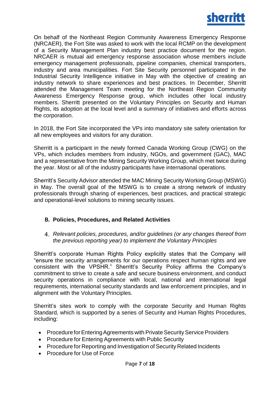

On behalf of the Northeast Region Community Awareness Emergency Response (NRCAER), the Fort Site was asked to work with the local RCMP on the development of a Security Management Plan industry best practice document for the region. NRCAER is mutual aid emergency response association whose members include emergency management professionals, pipeline companies, chemical transporters, industry and area municipalities. Fort Site Security personnel participated in the Industrial Security Intelligence initiative in May with the objective of creating an industry network to share experiences and best practices. In December, Sherritt attended the Management Team meeting for the Northeast Region Community Awareness Emergency Response group, which includes other local industry members. Sherritt presented on the Voluntary Principles on Security and Human Rights, its adoption at the local level and a summary of initiatives and efforts across the corporation.

In 2018, the Fort Site incorporated the VPs into mandatory site safety orientation for all new employees and visitors for any duration.

Sherritt is a participant in the newly formed Canada Working Group (CWG) on the VPs, which includes members from industry, NGOs, and government (GAC), MAC and a representative from the Mining Security Working Group, which met twice during the year. Most or all of the industry participants have international operations.

Sherritt's Security Advisor attended the MAC Mining Security Working Group (MSWG) in May. The overall goal of the MSWG is to create a strong network of industry professionals through sharing of experiences, best practices, and practical strategic and operational-level solutions to mining security issues.

#### **B. Policies, Procedures, and Related Activities**

*Relevant policies, procedures, and/or guidelines (or any changes thereof from the previous reporting year) to implement the Voluntary Principles*

Sherritt's corporate Human Rights Policy explicitly states that the Company will "ensure the security arrangements for our operations respect human rights and are consistent with the VPSHR." Sherritt's Security Policy affirms the Company's commitment to strive to create a safe and secure business environment, and conduct security operations in compliance with local, national and international legal requirements, international security standards and law enforcement principles, and in alignment with the Voluntary Principles.

Sherritt's sites work to comply with the corporate Security and Human Rights Standard, which is supported by a series of Security and Human Rights Procedures, including:

- Procedure for Entering Agreements with Private Security Service Providers
- Procedure for Entering Agreements with Public Security
- Procedure for Reporting and Investigation of Security Related Incidents
- Procedure for Use of Force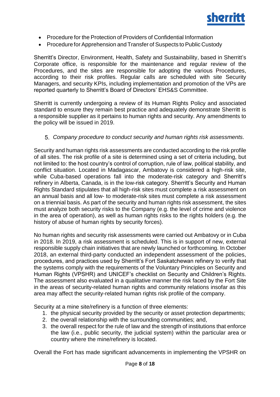

- Procedure for the Protection of Providers of Confidential Information
- Procedure for Apprehension and Transfer of Suspects to Public Custody

Sherritt's Director, Environment, Health, Safety and Sustainability, based in Sherritt's Corporate office, is responsible for the maintenance and regular review of the Procedures, and the sites are responsible for adopting the various Procedures, according to their risk profiles. Regular calls are scheduled with site Security Managers, and security KPIs, including implementation and promotion of the VPs are reported quarterly to Sherritt's Board of Directors' EHS&S Committee.

Sherritt is currently undergoing a review of its Human Rights Policy and associated standard to ensure they remain best practice and adequately demonstrate Sherritt is a responsible supplier as it pertains to human rights and security. Any amendments to the policy will be issued in 2019.

*Company procedure to conduct security and human rights risk assessments.*

Security and human rights risk assessments are conducted according to the risk profile of all sites. The risk profile of a site is determined using a set of criteria including, but not limited to: the host country's control of corruption, rule of law, political stability, and conflict situation. Located in Madagascar, Ambatovy is considered a high-risk site, while Cuba-based operations fall into the moderate-risk category and Sherritt's refinery in Alberta, Canada, is in the low-risk category. Sherritt's Security and Human Rights Standard stipulates that all high-risk sites must complete a risk assessment on an annual basis and all low- to moderate-risk sites must complete a risk assessment on a triennial basis. As part of the security and human rights risk assessment, the sites must analyze both security risks to the Company (e.g. the level of crime and violence in the area of operation), as well as human rights risks to the rights holders (e.g. the history of abuse of human rights by security forces).

No human rights and security risk assessments were carried out Ambatovy or in Cuba in 2018. In 2019, a risk assessment is scheduled. This is in support of new, external responsible supply chain initiatives that are newly launched or forthcoming. In October 2018, an external third-party conducted an independent assessment of the policies, procedures, and practices used by Sherritt's Fort Saskatchewan refinery to verify that the systems comply with the requirements of the Voluntary Principles on Security and Human Rights (VPSHR) and UNICEF's checklist on Security and Children's Rights. The assessment also evaluated in a qualitative manner the risk faced by the Fort Site in the areas of security-related human rights and community relations insofar as this area may affect the security-related human rights risk profile of the company.

Security at a mine site/refinery is a function of three elements:

- 1. the physical security provided by the security or asset protection departments;
- 2. the overall relationship with the surrounding communities; and,
- 3. the overall respect for the rule of law and the strength of institutions that enforce the law (i.e., public security, the judicial system) within the particular area or country where the mine/refinery is located.

Overall the Fort has made significant advancements in implementing the VPSHR on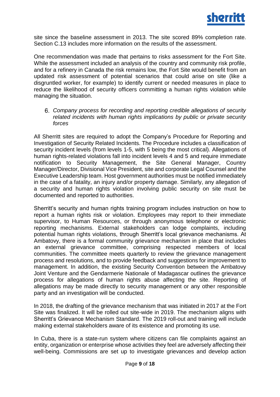site since the baseline assessment in 2013. The site scored 89% completion rate. Section C.13 includes more information on the results of the assessment.

One recommendation was made that pertains to risks assessment for the Fort Site. While the assessment included an analysis of the country and community risk profile, and for a refinery in Canada the risk remains low, the Fort Site would benefit from an updated risk assessment of potential scenarios that could arise on site (like a disgruntled worker, for example) to identify current or needed measures in place to reduce the likelihood of security officers committing a human rights violation while managing the situation.

*Company process for recording and reporting credible allegations of security related incidents with human rights implications by public or private security forces*

All Sherritt sites are required to adopt the Company's Procedure for Reporting and Investigation of Security Related Incidents. The Procedure includes a classification of security incident levels (from levels 1-5, with 5 being the most critical). Allegations of human rights-related violations fall into incident levels 4 and 5 and require immediate notification to Security Management, the Site General Manager, Country Manager/Director, Divisional Vice President, site and corporate Legal Counsel and the Executive Leadership team. Host government authorities must be notified immediately in the case of a fatality, an injury and/or property damage. Similarly, any allegation of a security and human rights violation involving public security on site must be documented and reported to authorities.

Sherritt's security and human rights training program includes instruction on how to report a human rights risk or violation. Employees may report to their immediate supervisor, to Human Resources, or through anonymous telephone or electronic reporting mechanisms. External stakeholders can lodge complaints, including potential human rights violations, through Sherritt's local grievance mechanisms. At Ambatovy, there is a formal community grievance mechanism in place that includes an external grievance committee, comprising respected members of local communities. The committee meets quarterly to review the grievance management process and resolutions, and to provide feedback and suggestions for improvement to management. In addition, the existing Security Convention between the Ambatovy Joint Venture and the Gendarmerie Nationale of Madagascar outlines the grievance process for allegations of human rights abuse affecting the site. Reporting of allegations may be made directly to security management or any other responsible party and an investigation will be conducted.

In 2018, the drafting of the grievance mechanism that was initiated in 2017 at the Fort Site was finalized. It will be rolled out site-wide in 2019. The mechanism aligns with Sherritt's Grievance Mechanism Standard. The 2019 roll-out and training will include making external stakeholders aware of its existence and promoting its use.

In Cuba, there is a state-run system where citizens can file complaints against an entity, organization or enterprise whose activities they feel are adversely affecting their well-being. Commissions are set up to investigate grievances and develop action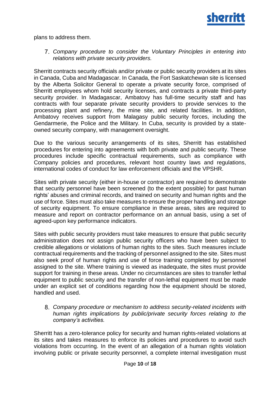

plans to address them.

*Company procedure to consider the Voluntary Principles in entering into relations with private security providers.*

Sherritt contracts security officials and/or private or public security providers at its sites in Canada, Cuba and Madagascar. In Canada, the Fort Saskatchewan site is licensed by the Alberta Solicitor General to operate a private security force, comprised of Sherritt employees whom hold security licenses, and contracts a private third-party security provider. In Madagascar, Ambatovy has full-time security staff and has contracts with four separate private security providers to provide services to the processing plant and refinery, the mine site, and related facilities. In addition, Ambatovy receives support from Malagasy public security forces, including the Gendarmerie, the Police and the Military. In Cuba, security is provided by a stateowned security company, with management oversight.

Due to the various security arrangements of its sites, Sherritt has established procedures for entering into agreements with both private and public security. These procedures include specific contractual requirements, such as compliance with Company policies and procedures, relevant host country laws and regulations, international codes of conduct for law enforcement officials and the VPSHR.

Sites with private security (either in-house or contractor) are required to demonstrate that security personnel have been screened (to the extent possible) for past human rights' abuses and criminal records, and trained on security and human rights and the use of force. Sites must also take measures to ensure the proper handling and storage of security equipment. To ensure compliance in these areas, sites are required to measure and report on contractor performance on an annual basis, using a set of agreed-upon key performance indicators.

Sites with public security providers must take measures to ensure that public security administration does not assign public security officers who have been subject to credible allegations or violations of human rights to the sites. Such measures include contractual requirements and the tracking of personnel assigned to the site. Sites must also seek proof of human rights and use of force training completed by personnel assigned to the site. Where training is viewed as inadequate, the sites must provide support for training in these areas. Under no circumstances are sites to transfer lethal equipment to public security and the transfer of non-lethal equipment must be made under an explicit set of conditions regarding how the equipment should be stored, handled and used.

*Company procedure or mechanism to address security-related incidents with human rights implications by public/private security forces relating to the company's activities.*

Sherritt has a zero-tolerance policy for security and human rights-related violations at its sites and takes measures to enforce its policies and procedures to avoid such violations from occurring. In the event of an allegation of a human rights violation involving public or private security personnel, a complete internal investigation must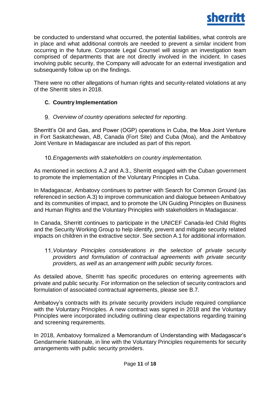be conducted to understand what occurred, the potential liabilities, what controls are in place and what additional controls are needed to prevent a similar incident from occurring in the future. Corporate Legal Counsel will assign an investigation team comprised of departments that are not directly involved in the incident. In cases involving public security, the Company will advocate for an external investigation and subsequently follow up on the findings.

There were no other allegations of human rights and security-related violations at any of the Sherritt sites in 2018.

## **C. Country Implementation**

## *Overview of country operations selected for reporting.*

Sherritt's Oil and Gas, and Power (OGP) operations in Cuba, the Moa Joint Venture in Fort Saskatchewan, AB, Canada (Fort Site) and Cuba (Moa), and the Ambatovy Joint Venture in Madagascar are included as part of this report.

*Engagements with stakeholders on country implementation.*

As mentioned in sections A.2 and A.3., Sherritt engaged with the Cuban government to promote the implementation of the Voluntary Principles in Cuba.

In Madagascar, Ambatovy continues to partner with Search for Common Ground (as referenced in section A.3) to improve communication and dialogue between Ambatovy and its communities of impact, and to promote the UN Guiding Principles on Business and Human Rights and the Voluntary Principles with stakeholders in Madagascar.

In Canada, Sherritt continues to participate in the UNICEF Canada-led Child Rights and the Security Working Group to help identify, prevent and mitigate security related impacts on children in the extractive sector. See section A.1 for additional information.

*Voluntary Principles considerations in the selection of private security providers and formulation of contractual agreements with private security providers, as well as an arrangement with public security forces.*

As detailed above, Sherritt has specific procedures on entering agreements with private and public security. For information on the selection of security contractors and formulation of associated contractual agreements, please see B.7.

Ambatovy's contracts with its private security providers include required compliance with the Voluntary Principles. A new contract was signed in 2018 and the Voluntary Principles were incorporated including outlining clear expectations regarding training and screening requirements.

In 2018, Ambatovy formalized a Memorandum of Understanding with Madagascar's Gendarmerie Nationale, in line with the Voluntary Principles requirements for security arrangements with public security providers.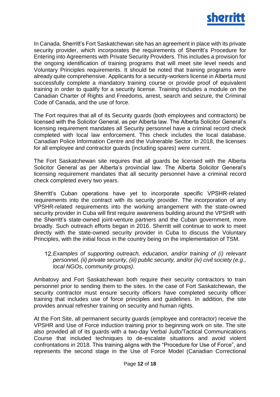

In Canada, Sherritt's Fort Saskatchewan site has an agreement in place with its private security provider, which incorporates the requirements of Sherritt's Procedure for Entering into Agreements with Private Security Providers. This includes a provision for the ongoing identification of training programs that will meet site level needs and Voluntary Principles requirements. It should be noted that training programs were already quite comprehensive. Applicants for a security-workers license in Alberta must successfully complete a mandatory training course or provide proof of equivalent training in order to qualify for a security license. Training includes a module on the Canadian Charter of Rights and Freedoms, arrest, search and seizure, the Criminal Code of Canada, and the use of force.

The Fort requires that all of its Security guards (both employees and contractors) be licensed with the Solicitor General, as per Alberta law. The Alberta Solicitor General's licensing requirement mandates all Security personnel have a criminal record check completed with local law enforcement. This check includes the local database, Canadian Police Information Centre and the Vulnerable Sector. In 2018, the licenses for all employee and contractor guards (including spares) were current.

The Fort Saskatchewan site requires that all guards be licensed with the Alberta Solicitor General as per Alberta's provincial law. The Alberta Solicitor General's licensing requirement mandates that all security personnel have a criminal record check completed every two years.

Sherritt's Cuban operations have yet to incorporate specific VPSHR-related requirements into the contract with its security provider. The incorporation of any VPSHR-related requirements into the working arrangement with the state-owned security provider in Cuba will first require awareness building around the VPSHR with the Sherritt's state-owned joint-venture partners and the Cuban government, more broadly. Such outreach efforts began in 2016. Sherritt will continue to work to meet directly with the state-owned security provider in Cuba to discuss the Voluntary Principles, with the initial focus in the country being on the implementation of TSM.

*Examples of supporting outreach, education, and/or training of (i) relevant personnel, (ii) private security, (iii) public security, and/or (iv) civil society (e.g., local NGOs, community groups).*

Ambatovy and Fort Saskatchewan both require their security contractors to train personnel prior to sending them to the sites. In the case of Fort Saskatchewan, the security contractor must ensure security officers have completed security officer training that includes use of force principles and guidelines. In addition, the site provides annual refresher training on security and human rights.

At the Fort Site, all permanent security guards (employee and contractor) receive the VPSHR and Use of Force induction training prior to beginning work on site. The site also provided all of its guards with a two-day Verbal Judo/Tactical Communications Course that included techniques to de-escalate situations and avoid violent confrontations in 2018. This training aligns with the "Procedure for Use of Force", and represents the second stage in the Use of Force Model (Canadian Correctional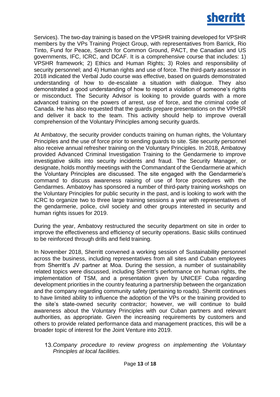

Services). The two-day training is based on the VPSHR training developed for VPSHR members by the VPs Training Project Group, with representatives from Barrick, Rio Tinto, Fund for Peace, Search for Common Ground, PACT, the Canadian and US governments, IFC, ICRC, and DCAF. It is a comprehensive course that includes: 1) VPSHR framework; 2) Ethics and Human Rights; 3) Roles and responsibility of security personnel; and 4) Human rights and use of force. The third-party assessor in 2018 indicated the Verbal Judo course was effective, based on guards demonstrated understanding of how to de-escalate a situation with dialogue. They also demonstrated a good understanding of how to report a violation of someone's rights or misconduct. The Security Advisor is looking to provide guards with a more advanced training on the powers of arrest, use of force, and the criminal code of Canada. He has also requested that the guards prepare presentations on the VPHSR and deliver it back to the team. This activity should help to improve overall comprehension of the Voluntary Principles among security guards.

At Ambatovy, the security provider conducts training on human rights, the Voluntary Principles and the use of force prior to sending guards to site. Site security personnel also receive annual refresher training on the Voluntary Principles. In 2018, Ambatovy provided Advanced Criminal Investigation Training to the Gendarmerie to improve investigative skills into security incidents and fraud. The Security Manager, or designate, holds monthly meetings with the Commandant of the Gendarmerie at which the Voluntary Principles are discussed. The site engaged with the Gendarmerie's command to discuss awareness raising of use of force procedures with the Gendarmes. Ambatovy has sponsored a number of third-party training workshops on the Voluntary Principles for public security in the past, and is looking to work with the ICRC to organize two to three large training sessions a year with representatives of the gendarmerie, police, civil society and other groups interested in security and human rights issues for 2019.

During the year, Ambatovy restructured the security department on site in order to improve the effectiveness and efficiency of security operations. Basic skills continued to be reinforced through drills and field training.

In November 2018, Sherritt convened a working session of Sustainability personnel across the business, including representatives from all sites and Cuban employees from Sherritt's JV partner at Moa. During the session, a number of sustainability related topics were discussed, including Sherritt's performance on human rights, the implementation of TSM, and a presentation given by UNICEF Cuba regarding development priorities in the country featuring a partnership between the organization and the company regarding community safety (pertaining to roads). Sherritt continues to have limited ability to influence the adoption of the VPs or the training provided to the site's state-owned security contractor; however, we will continue to build awareness about the Voluntary Principles with our Cuban partners and relevant authorities, as appropriate. Given the increasing requirements by customers and others to provide related performance data and management practices, this will be a broader topic of interest for the Joint Venture into 2019.

*Company procedure to review progress on implementing the Voluntary Principles at local facilities.*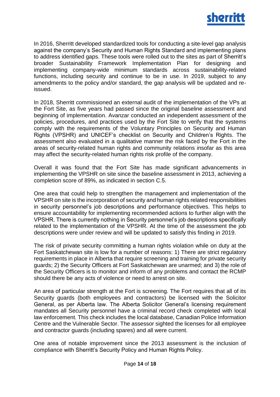

In 2016, Sherritt developed standardized tools for conducting a site-level gap analysis against the company's Security and Human Rights Standard and implementing plans to address identified gaps. These tools were rolled out to the sites as part of Sherritt's broader Sustainability Framework Implementation Plan for designing and implementing company-wide minimum standards across sustainability-related functions, including security and continue to be in use. In 2019, subject to any amendments to the policy and/or standard, the gap analysis will be updated and reissued.

In 2018, Sherritt commissioned an external audit of the implementation of the VPs at the Fort Site, as five years had passed since the original baseline assessment and beginning of implementation. Avanzar conducted an independent assessment of the policies, procedures, and practices used by the Fort Site to verify that the systems comply with the requirements of the Voluntary Principles on Security and Human Rights (VPSHR) and UNICEF's checklist on Security and Children's Rights. The assessment also evaluated in a qualitative manner the risk faced by the Fort in the areas of security-related human rights and community relations insofar as this area may affect the security-related human rights risk profile of the company.

Overall it was found that the Fort Site has made significant advancements in implementing the VPSHR on site since the baseline assessment in 2013, achieving a completion score of 89%, as indicated in section C.5.

One area that could help to strengthen the management and implementation of the VPSHR on site is the incorporation of security and human rights related responsibilities in security personnel's job descriptions and performance objectives. This helps to ensure accountability for implementing recommended actions to further align with the VPSHR. There is currently nothing in Security personnel's job descriptions specifically related to the implementation of the VPSHR. At the time of the assessment the job descriptions were under review and will be updated to satisfy this finding in 2019.

The risk of private security committing a human rights violation while on duty at the Fort Saskatchewan site is low for a number of reasons: 1) There are strict regulatory requirements in place in Alberta that require screening and training for private security guards; 2) the Security Officers at Fort Saskatchewan are unarmed; and 3) the role of the Security Officers is to monitor and inform of any problems and contact the RCMP should there be any acts of violence or need to arrest on site.

An area of particular strength at the Fort is screening. The Fort requires that all of its Security guards (both employees and contractors) be licensed with the Solicitor General, as per Alberta law. The Alberta Solicitor General's licensing requirement mandates all Security personnel have a criminal record check completed with local law enforcement. This check includes the local database, Canadian Police Information Centre and the Vulnerable Sector. The assessor sighted the licenses for all employee and contractor guards (including spares) and all were current.

One area of notable improvement since the 2013 assessment is the inclusion of compliance with Sherritt's Security Policy and Human Rights Policy.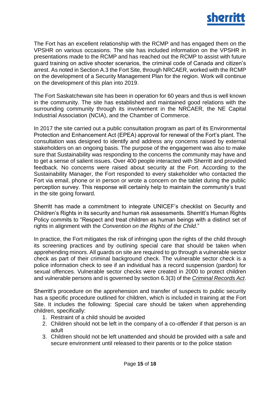

The Fort has an excellent relationship with the RCMP and has engaged them on the VPSHR on various occasions. The site has included information on the VPSHR in presentations made to the RCMP and has reached out the RCMP to assist with future guard training on active shooter scenarios, the criminal code of Canada and citizen's arrest. As noted in Section A.3 the Fort Site, through NRCAER, worked with the RCMP on the development of a Security Management Plan for the region. Work will continue on the development of this plan into 2019.

The Fort Saskatchewan site has been in operation for 60 years and thus is well known in the community. The site has established and maintained good relations with the surrounding community through its involvement in the NRCAER, the NE Capital Industrial Association (NCIA), and the Chamber of Commerce.

In 2017 the site carried out a public consultation program as part of its Environmental Protection and Enhancement Act (EPEA) approval for renewal of the Fort's plant. The consultation was designed to identify and address any concerns raised by external stakeholders on an ongoing basis. The purpose of the engagement was also to make sure that Sustainability was responding to the concerns the community may have and to get a sense of salient issues. Over 400 people interacted with Sherritt and provided feedback. No concerns were raised about security at the Fort. According to the Sustainability Manager, the Fort responded to every stakeholder who contacted the Fort via email, phone or in person or wrote a concern on the tablet during the public perception survey. This response will certainly help to maintain the community's trust in the site going forward.

Sherritt has made a commitment to integrate UNICEF's checklist on Security and Children's Rights in its security and human risk assessments. Sherritt's Human Rights Policy commits to "Respect and treat children as human beings with a distinct set of rights in alignment with the *Convention on the Rights of the Child*."

In practice, the Fort mitigates the risk of infringing upon the rights of the child through its screening practices and by outlining special care that should be taken when apprehending minors. All guards on site are required to go through a vulnerable sector check as part of their criminal background check. The vulnerable sector check is a police information check to see if an individual has a record suspension (pardon) for sexual offences. Vulnerable sector checks were created in 2000 to protect children and vulnerable persons and is governed by section 6.3(3) of the *[Criminal Records Act](http://laws-lois.justice.gc.ca/eng/acts/C-47/FullText.html)*.

Sherritt's procedure on the apprehension and transfer of suspects to public security has a specific procedure outlined for children, which is included in training at the Fort Site. It includes the following: Special care should be taken when apprehending children, specifically:

- 1. Restraint of a child should be avoided
- 2. Children should not be left in the company of a co-offender if that person is an adult
- 3. Children should not be left unattended and should be provided with a safe and secure environment until released to their parents or to the police station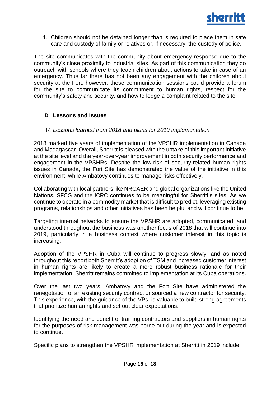

4. Children should not be detained longer than is required to place them in safe care and custody of family or relatives or, if necessary, the custody of police.

The site communicates with the community about emergency response due to the community's close proximity to industrial sites. As part of this communication they do outreach with schools where they teach children about actions to take in case of an emergency. Thus far there has not been any engagement with the children about security at the Fort; however, these communication sessions could provide a forum for the site to communicate its commitment to human rights, respect for the community's safety and security, and how to lodge a complaint related to the site.

### **D. Lessons and Issues**

#### *Lessons learned from 2018 and plans for 2019 implementation*

2018 marked five years of implementation of the VPSHR implementation in Canada and Madagascar. Overall, Sherritt is pleased with the uptake of this important initiative at the site level and the year-over-year improvement in both security performance and engagement in the VPSHRs. Despite the low-risk of security-related human rights issues in Canada, the Fort Site has demonstrated the value of the initiative in this environment, while Ambatovy continues to manage risks effectively.

Collaborating with local partners like NRCAER and global organizations like the United Nations, SFCG and the ICRC continues to be meaningful for Sherritt's sites. As we continue to operate in a commodity market that is difficult to predict, leveraging existing programs, relationships and other initiatives has been helpful and will continue to be.

Targeting internal networks to ensure the VPSHR are adopted, communicated, and understood throughout the business was another focus of 2018 that will continue into 2019, particularly in a business context where customer interest in this topic is increasing.

Adoption of the VPSHR in Cuba will continue to progress slowly, and as noted throughout this report both Sherritt's adoption of TSM and increased customer interest in human rights are likely to create a more robust business rationale for their implementation. Sherritt remains committed to implementation at its Cuba operations.

Over the last two years, Ambatovy and the Fort Site have administered the renegotiation of an existing security contract or sourced a new contractor for security. This experience, with the guidance of the VPs, is valuable to build strong agreements that prioritize human rights and set out clear expectations.

Identifying the need and benefit of training contractors and suppliers in human rights for the purposes of risk management was borne out during the year and is expected to continue.

Specific plans to strengthen the VPSHR implementation at Sherritt in 2019 include: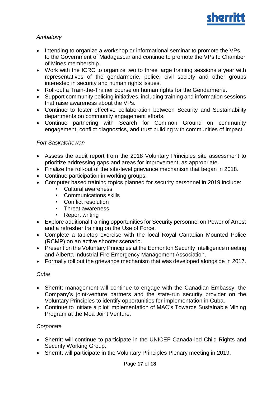

## *Ambatovy*

- Intending to organize a workshop or informational seminar to promote the VPs to the Government of Madagascar and continue to promote the VPs to Chamber of Mines membership.
- Work with the ICRC to organize two to three large training sessions a year with representatives of the gendarmerie, police, civil society and other groups interested in security and human rights issues.
- Roll-out a Train-the-Trainer course on human rights for the Gendarmerie.
- Support community policing initiatives, including training and information sessions that raise awareness about the VPs.
- Continue to foster effective collaboration between Security and Sustainability departments on community engagement efforts.
- Continue partnering with Search for Common Ground on community engagement, conflict diagnostics, and trust building with communities of impact.

#### *Fort Saskatchewan*

- Assess the audit report from the 2018 Voluntary Principles site assessment to prioritize addressing gaps and areas for improvement, as appropriate.
- Finalize the roll-out of the site-level grievance mechanism that began in 2018.
- Continue participation in working groups.
- Computer based training topics planned for security personnel in 2019 include:
	- Cultural awareness
	- Communications skills
	- Conflict resolution
	- Threat awareness
	- Report writing
- Explore additional training opportunities for Security personnel on Power of Arrest and a refresher training on the Use of Force.
- Complete a tabletop exercise with the local Royal Canadian Mounted Police (RCMP) on an active shooter scenario.
- Present on the Voluntary Principles at the Edmonton Security Intelligence meeting and Alberta Industrial Fire Emergency Management Association.
- Formally roll out the grievance mechanism that was developed alongside in 2017.

#### *Cuba*

- Sherritt management will continue to engage with the Canadian Embassy, the Company's joint-venture partners and the state-run security provider on the Voluntary Principles to identify opportunities for implementation in Cuba.
- Continue to initiate a pilot implementation of MAC's Towards Sustainable Mining Program at the Moa Joint Venture.

#### *Corporate*

- Sherritt will continue to participate in the UNICEF Canada-led Child Rights and Security Working Group.
- Sherritt will participate in the Voluntary Principles Plenary meeting in 2019.